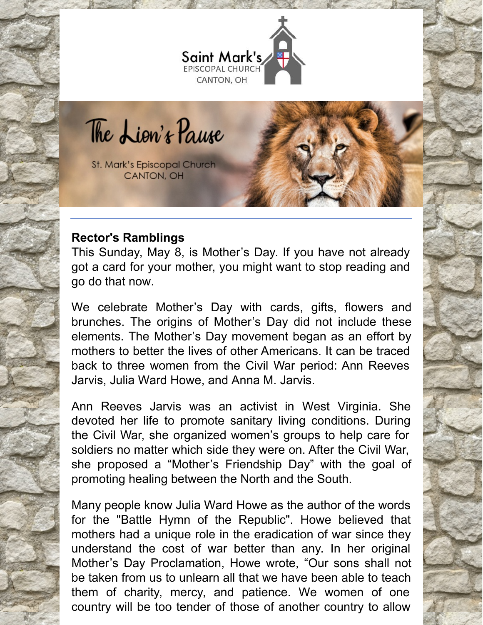

The Lion's Pause

St. Mark's Episcopal Church CANTON, OH

#### **Rector's Ramblings**

This Sunday, May 8, is Mother's Day. If you have not already got a card for your mother, you might want to stop reading and go do that now.

We celebrate Mother's Day with cards, gifts, flowers and brunches. The origins of Mother's Day did not include these elements. The Mother's Day movement began as an effort by mothers to better the lives of other Americans. It can be traced back to three women from the Civil War period: Ann Reeves Jarvis, Julia Ward Howe, and Anna M. Jarvis.

Ann Reeves Jarvis was an activist in West Virginia. She devoted her life to promote sanitary living conditions. During the Civil War, she organized women's groups to help care for soldiers no matter which side they were on. After the Civil War, she proposed a "Mother's Friendship Day" with the goal of promoting healing between the North and the South.

Many people know Julia Ward Howe as the author of the words for the "Battle Hymn of the Republic". Howe believed that mothers had a unique role in the eradication of war since they understand the cost of war better than any. In her original Mother's Day Proclamation, Howe wrote, "Our sons shall not be taken from us to unlearn all that we have been able to teach them of charity, mercy, and patience. We women of one country will be too tender of those of another country to allow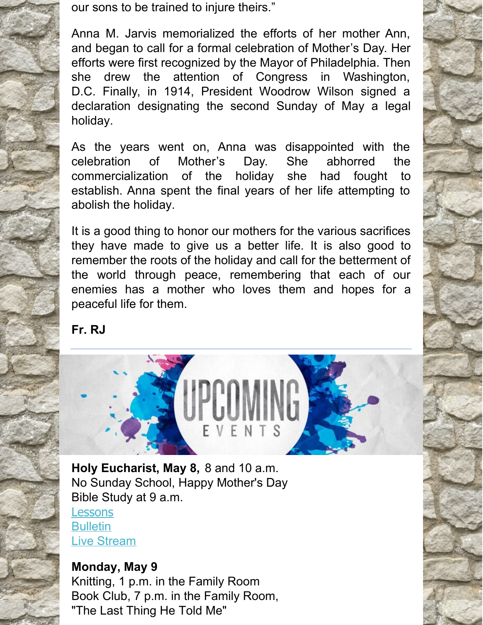our sons to be trained to injure theirs."

Anna M. Jarvis memorialized the efforts of her mother Ann, and began to call for a formal celebration of Mother's Day. Her efforts were first recognized by the Mayor of Philadelphia. Then she drew the attention of Congress in Washington, D.C. Finally, in 1914, President Woodrow Wilson signed a declaration designating the second Sunday of May a legal holiday.

As the years went on, Anna was disappointed with the celebration of Mother's Day. She abhorred the commercialization of the holiday she had fought to establish. Anna spent the final years of her life attempting to abolish the holiday.

It is a good thing to honor our mothers for the various sacrifices they have made to give us a better life. It is also good to remember the roots of the holiday and call for the betterment of the world through peace, remembering that each of our enemies has a mother who loves them and hopes for a peaceful life for them.

**Fr. RJ**



**Holy Eucharist, May 8,** 8 and 10 a.m. No Sunday School, Happy Mother's Day Bible Study at 9 a.m.

**[Lessons](http://lectionarypage.net/YearC_RCL/Easter/CEaster4_RCL.html) [Bulletin](https://files.constantcontact.com/32ed7374201/bd13d893-d919-44fa-8312-a7c674f72cfd.pdf)** Live [Stream](https://www.facebook.com/stmarks.canton)

## **Monday, May 9** Knitting, 1 p.m. in the Family Room Book Club, 7 p.m. in the Family Room, "The Last Thing He Told Me"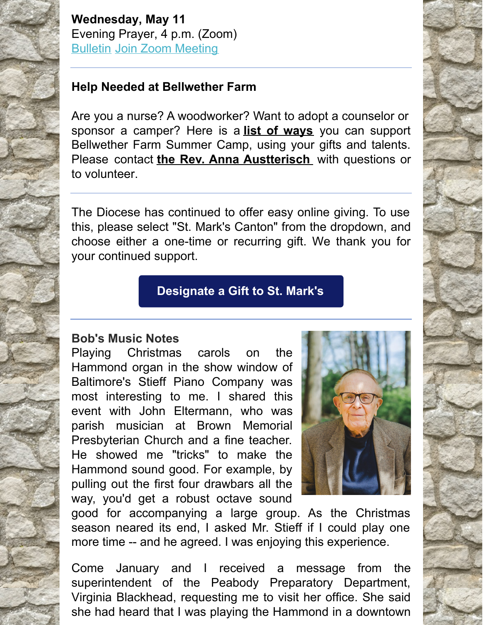**Wednesday, May 11** Evening Prayer, 4 p.m. (Zoom) [Bulletin](https://files.constantcontact.com/32ed7374201/7975a078-38f0-4e34-8524-c5c81eb1d148.pdf) Join Zoom [Meeting](https://us06web.zoom.us/j/86135966602?pwd=OGJvMEdQZHhGaFZTVzArVE9CdjRIQT09)

# **Help Needed at Bellwether Farm**

Are you a nurse? A woodworker? Want to adopt a counselor or sponsor a camper? Here is a **list of [ways](https://r20.rs6.net/tn.jsp?f=0010xBrm4metcefWgTwdmLgNrXgx165TtSB-GcZOCe4wb01zu6LYc0ibYKk-BFUGObEccJwX3yPQqqto7Pgt-EAfQjfoyzlqh5IPebO7Mf0lgSZxre_yM8FguSk0J_xmKgxdNTCIXi0YCGfKtKd8DNSqS80mSo-MfKijKPcZdgj2A_Z9-rrC0bZU39nqXr2w6ndxhfbWA3UO1Bx6CwajG11kyOEY4Bwj1-Hoh5TxddzIQVgj1VGurVH7GXcuyNe-dAI&c=umSTsCzHfeCJxC9a3Nnx8ciMP4pZ7CLGHbzryso432kev-FgZT8N4g==&ch=E7EVnQ66X_QJbj9xx18hAOkpCOF9XbCpVRGbXz_dF_gDaTsKvIECgw==)** you can support Bellwether Farm Summer Camp, using your gifts and talents. Please contact **the Rev. Anna [Austterisch](mailto:asutterisch@dohio.org)** with questions or to volunteer.

The Diocese has continued to offer easy online giving. To use this, please select "St. Mark's Canton" from the dropdown, and choose either a one-time or recurring gift. We thank you for your continued support.

# **[Designate](https://dohio.org/designate-a-gift-to-your-parish) a Gift to St. Mark's**

### **Bob's Music Notes**

Playing Christmas carols on the Hammond organ in the show window of Baltimore's Stieff Piano Company was most interesting to me. I shared this event with John Eltermann, who was parish musician at Brown Memorial Presbyterian Church and a fine teacher. He showed me "tricks" to make the Hammond sound good. For example, by pulling out the first four drawbars all the way, you'd get a robust octave sound



good for accompanying a large group. As the Christmas season neared its end, I asked Mr. Stieff if I could play one more time -- and he agreed. I was enjoying this experience.

Come January and I received a message from the superintendent of the Peabody Preparatory Department, Virginia Blackhead, requesting me to visit her office. She said she had heard that I was playing the Hammond in a downtown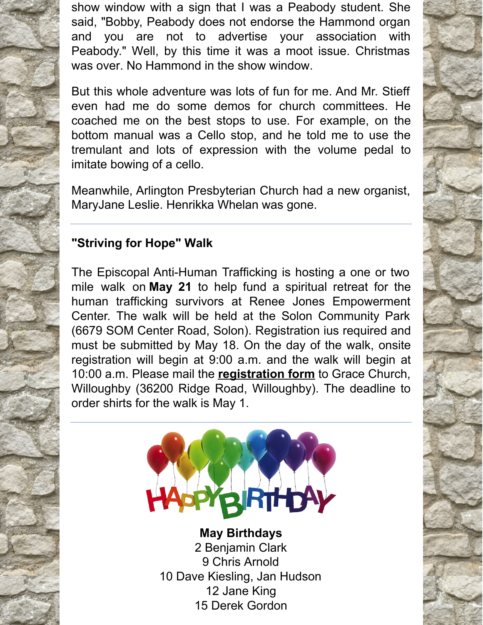show window with a sign that I was a Peabody student. She said, "Bobby, Peabody does not endorse the Hammond organ and you are not to advertise your association with Peabody." Well, by this time it was a moot issue. Christmas was over. No Hammond in the show window.

But this whole adventure was lots of fun for me. And Mr. Stieff even had me do some demos for church committees. He coached me on the best stops to use. For example, on the bottom manual was a Cello stop, and he told me to use the tremulant and lots of expression with the volume pedal to imitate bowing of a cello.

Meanwhile, Arlington Presbyterian Church had a new organist, MaryJane Leslie. Henrikka Whelan was gone.

### **"Striving for Hope" Walk**

The Episcopal Anti-Human Trafficking is hosting a one or two mile walk on **May 21** to help fund a spiritual retreat for the human trafficking survivors at Renee Jones Empowerment Center. The walk will be held at the Solon Community Park (6679 SOM Center Road, Solon). Registration ius required and must be submitted by May 18. On the day of the walk, onsite registration will begin at 9:00 a.m. and the walk will begin at 10:00 a.m. Please mail the **[registration](https://r20.rs6.net/tn.jsp?f=0010xBrm4metcefWgTwdmLgNrXgx165TtSB-GcZOCe4wb01zu6LYc0ibc5_LbTJYSy038dqTq6P983K3yHt7eKQm5hyZ69Y-hcD32lLqxQAYZAdm7XmdIuzzfc3uHKGk7dLl3F0w_LG3dDXwhmzVmgURq3WLn2sJr5O2Gn7Joq1Xhl06rj8LkY7L-NxoOkMo39lD06FaMNPiIdAwhKrM_fSA1rYTLae6Ywf5Yyoozn8EGEpxW_HD5HlvA==&c=umSTsCzHfeCJxC9a3Nnx8ciMP4pZ7CLGHbzryso432kev-FgZT8N4g==&ch=E7EVnQ66X_QJbj9xx18hAOkpCOF9XbCpVRGbXz_dF_gDaTsKvIECgw==) form** to Grace Church, Willoughby (36200 Ridge Road, Willoughby). The deadline to order shirts for the walk is May 1.



**May Birthdays** Benjamin Clark Chris Arnold Dave Kiesling, Jan Hudson Jane King Derek Gordon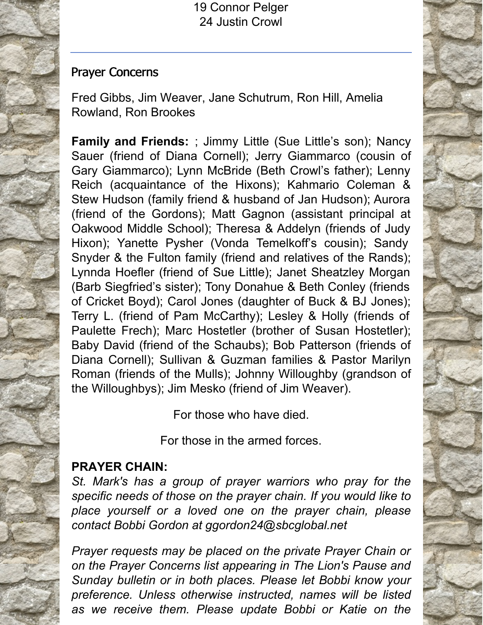19 Connor Pelger 24 Justin Crowl

#### Prayer Concerns

Fred Gibbs, Jim Weaver, Jane Schutrum, Ron Hill, Amelia Rowland, Ron Brookes

**Family and Friends:** ; Jimmy Little (Sue Little's son); Nancy Sauer (friend of Diana Cornell); Jerry Giammarco (cousin of Gary Giammarco); Lynn McBride (Beth Crowl's father); Lenny Reich (acquaintance of the Hixons); Kahmario Coleman & Stew Hudson (family friend & husband of Jan Hudson); Aurora (friend of the Gordons); Matt Gagnon (assistant principal at Oakwood Middle School); Theresa & Addelyn (friends of Judy Hixon); Yanette Pysher (Vonda Temelkoff's cousin); Sandy Snyder & the Fulton family (friend and relatives of the Rands); Lynnda Hoefler (friend of Sue Little); Janet Sheatzley Morgan (Barb Siegfried's sister); Tony Donahue & Beth Conley (friends of Cricket Boyd); Carol Jones (daughter of Buck & BJ Jones); Terry L. (friend of Pam McCarthy); Lesley & Holly (friends of Paulette Frech); Marc Hostetler (brother of Susan Hostetler); Baby David (friend of the Schaubs); Bob Patterson (friends of Diana Cornell); Sullivan & Guzman families & Pastor Marilyn Roman (friends of the Mulls); Johnny Willoughby (grandson of the Willoughbys); Jim Mesko (friend of Jim Weaver).

For those who have died.

For those in the armed forces.

### **PRAYER CHAIN:**

*St. Mark's has a group of prayer warriors who pray for the specific needs of those on the prayer chain. If you would like to place yourself or a loved one on the prayer chain, please contact Bobbi Gordon at ggordon24@sbcglobal.net*

*Prayer requests may be placed on the private Prayer Chain or on the Prayer Concerns list appearing in The Lion's Pause and Sunday bulletin or in both places. Please let Bobbi know your preference. Unless otherwise instructed, names will be listed as we receive them. Please update Bobbi or Katie on the*